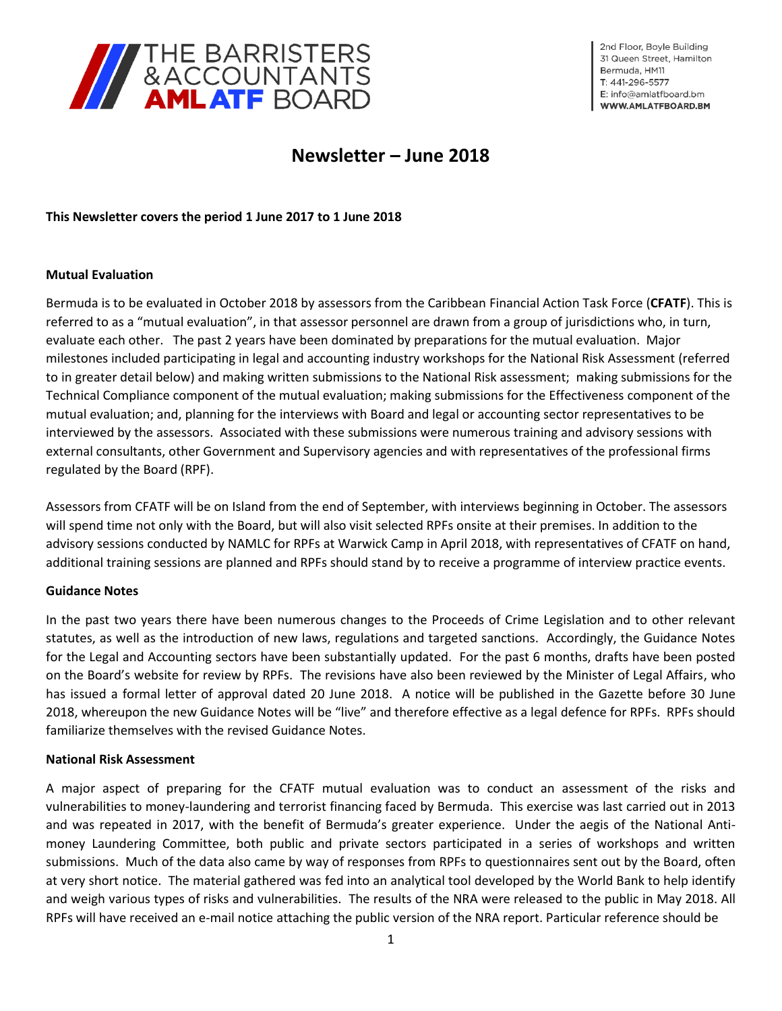

2nd Floor, Boyle Building 31 Queen Street. Hamilton Bermuda, HM11 T: 441-296-5577 E: info@amlatfboard.bm WWW.AMLATFBOARD.BM

# **Newsletter – June 2018**

**This Newsletter covers the period 1 June 2017 to 1 June 2018**

## **Mutual Evaluation**

Bermuda is to be evaluated in October 2018 by assessors from the Caribbean Financial Action Task Force (**CFATF**). This is referred to as a "mutual evaluation", in that assessor personnel are drawn from a group of jurisdictions who, in turn, evaluate each other. The past 2 years have been dominated by preparations for the mutual evaluation. Major milestones included participating in legal and accounting industry workshops for the National Risk Assessment (referred to in greater detail below) and making written submissions to the National Risk assessment; making submissions for the Technical Compliance component of the mutual evaluation; making submissions for the Effectiveness component of the mutual evaluation; and, planning for the interviews with Board and legal or accounting sector representatives to be interviewed by the assessors. Associated with these submissions were numerous training and advisory sessions with external consultants, other Government and Supervisory agencies and with representatives of the professional firms regulated by the Board (RPF).

Assessors from CFATF will be on Island from the end of September, with interviews beginning in October. The assessors will spend time not only with the Board, but will also visit selected RPFs onsite at their premises. In addition to the advisory sessions conducted by NAMLC for RPFs at Warwick Camp in April 2018, with representatives of CFATF on hand, additional training sessions are planned and RPFs should stand by to receive a programme of interview practice events.

## **Guidance Notes**

In the past two years there have been numerous changes to the Proceeds of Crime Legislation and to other relevant statutes, as well as the introduction of new laws, regulations and targeted sanctions. Accordingly, the Guidance Notes for the Legal and Accounting sectors have been substantially updated. For the past 6 months, drafts have been posted on the Board's website for review by RPFs. The revisions have also been reviewed by the Minister of Legal Affairs, who has issued a formal letter of approval dated 20 June 2018. A notice will be published in the Gazette before 30 June 2018, whereupon the new Guidance Notes will be "live" and therefore effective as a legal defence for RPFs. RPFs should familiarize themselves with the revised Guidance Notes.

## **National Risk Assessment**

A major aspect of preparing for the CFATF mutual evaluation was to conduct an assessment of the risks and vulnerabilities to money-laundering and terrorist financing faced by Bermuda. This exercise was last carried out in 2013 and was repeated in 2017, with the benefit of Bermuda's greater experience. Under the aegis of the National Antimoney Laundering Committee, both public and private sectors participated in a series of workshops and written submissions. Much of the data also came by way of responses from RPFs to questionnaires sent out by the Board, often at very short notice. The material gathered was fed into an analytical tool developed by the World Bank to help identify and weigh various types of risks and vulnerabilities. The results of the NRA were released to the public in May 2018. All RPFs will have received an e-mail notice attaching the public version of the NRA report. Particular reference should be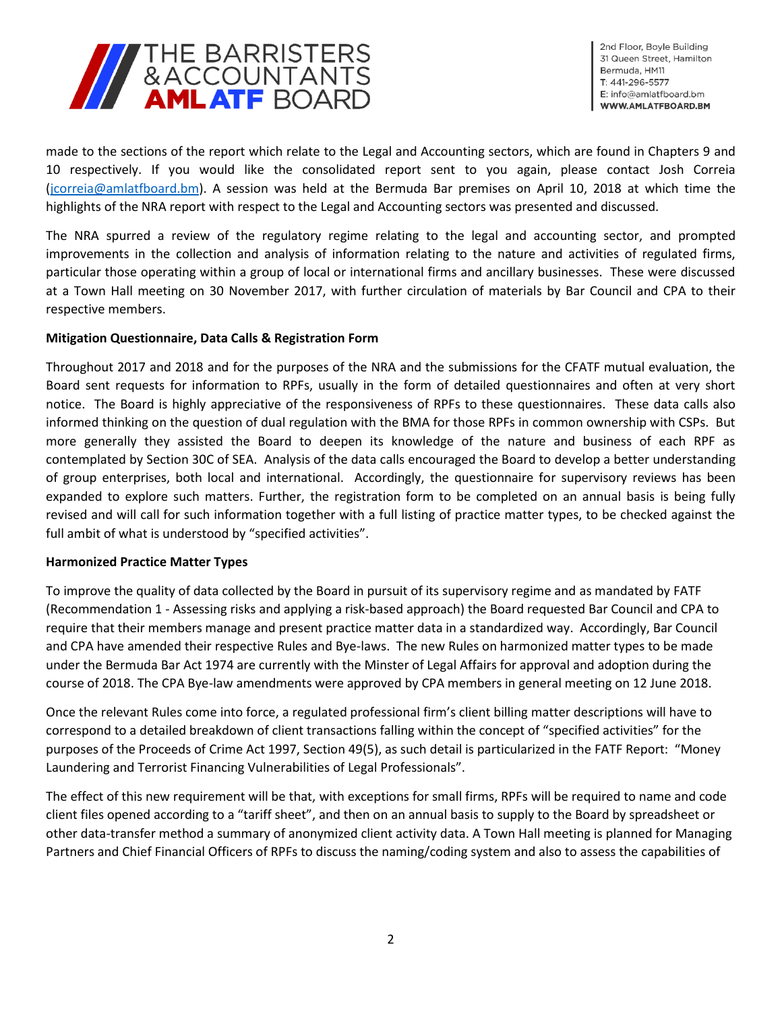

2nd Floor, Boyle Building 31 Queen Street, Hamilton Bermuda, HM11 T: 441-296-5577 E: info@amlatfboard.bm WWW.AMLATFBOARD.BM

made to the sections of the report which relate to the Legal and Accounting sectors, which are found in Chapters 9 and 10 respectively. If you would like the consolidated report sent to you again, please contact Josh Correia [\(jcorreia@amlatfboard.bm\)](mailto:jcorreia@amlatfboard.bm). A session was held at the Bermuda Bar premises on April 10, 2018 at which time the highlights of the NRA report with respect to the Legal and Accounting sectors was presented and discussed.

The NRA spurred a review of the regulatory regime relating to the legal and accounting sector, and prompted improvements in the collection and analysis of information relating to the nature and activities of regulated firms, particular those operating within a group of local or international firms and ancillary businesses. These were discussed at a Town Hall meeting on 30 November 2017, with further circulation of materials by Bar Council and CPA to their respective members.

# **Mitigation Questionnaire, Data Calls & Registration Form**

Throughout 2017 and 2018 and for the purposes of the NRA and the submissions for the CFATF mutual evaluation, the Board sent requests for information to RPFs, usually in the form of detailed questionnaires and often at very short notice. The Board is highly appreciative of the responsiveness of RPFs to these questionnaires. These data calls also informed thinking on the question of dual regulation with the BMA for those RPFs in common ownership with CSPs. But more generally they assisted the Board to deepen its knowledge of the nature and business of each RPF as contemplated by Section 30C of SEA. Analysis of the data calls encouraged the Board to develop a better understanding of group enterprises, both local and international. Accordingly, the questionnaire for supervisory reviews has been expanded to explore such matters. Further, the registration form to be completed on an annual basis is being fully revised and will call for such information together with a full listing of practice matter types, to be checked against the full ambit of what is understood by "specified activities".

## **Harmonized Practice Matter Types**

To improve the quality of data collected by the Board in pursuit of its supervisory regime and as mandated by FATF (Recommendation 1 - Assessing risks and applying a risk-based approach) the Board requested Bar Council and CPA to require that their members manage and present practice matter data in a standardized way. Accordingly, Bar Council and CPA have amended their respective Rules and Bye-laws. The new Rules on harmonized matter types to be made under the Bermuda Bar Act 1974 are currently with the Minster of Legal Affairs for approval and adoption during the course of 2018. The CPA Bye-law amendments were approved by CPA members in general meeting on 12 June 2018.

Once the relevant Rules come into force, a regulated professional firm's client billing matter descriptions will have to correspond to a detailed breakdown of client transactions falling within the concept of "specified activities" for the purposes of the Proceeds of Crime Act 1997, Section 49(5), as such detail is particularized in the FATF Report: "Money Laundering and Terrorist Financing Vulnerabilities of Legal Professionals".

The effect of this new requirement will be that, with exceptions for small firms, RPFs will be required to name and code client files opened according to a "tariff sheet", and then on an annual basis to supply to the Board by spreadsheet or other data-transfer method a summary of anonymized client activity data. A Town Hall meeting is planned for Managing Partners and Chief Financial Officers of RPFs to discuss the naming/coding system and also to assess the capabilities of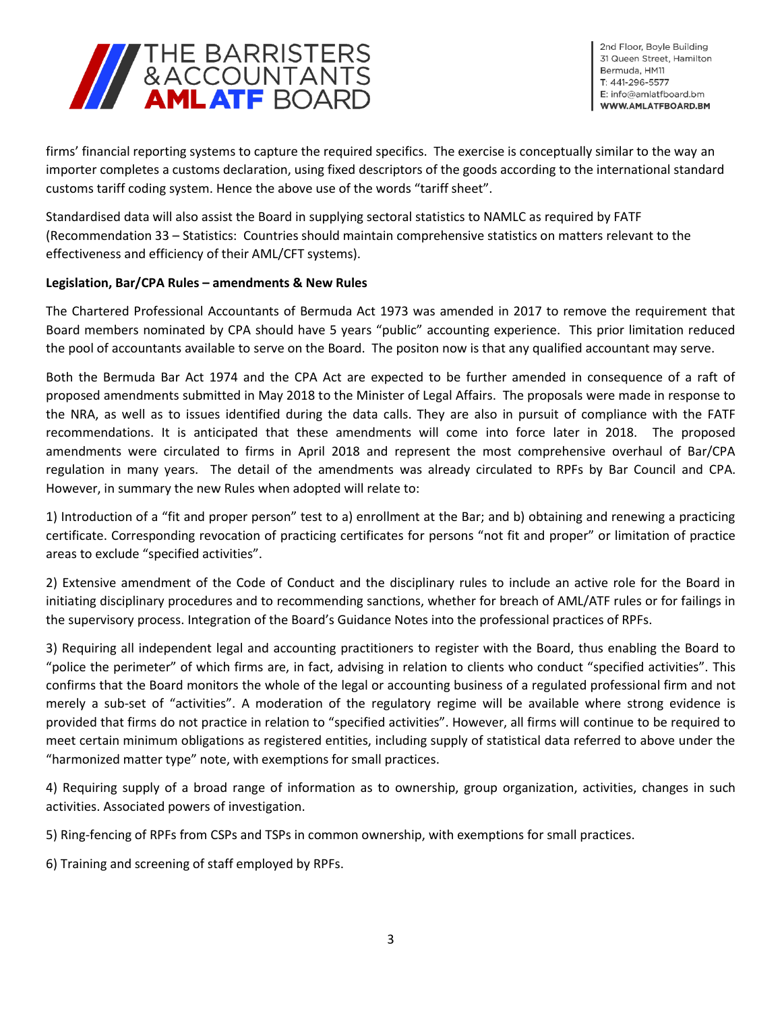

2nd Floor, Boyle Building 31 Queen Street, Hamilton Bermuda, HM11 T: 441-296-5577 E: info@amlatfboard.bm WWW.AMLATFBOARD.BM

firms' financial reporting systems to capture the required specifics. The exercise is conceptually similar to the way an importer completes a customs declaration, using fixed descriptors of the goods according to the international standard customs tariff coding system. Hence the above use of the words "tariff sheet".

Standardised data will also assist the Board in supplying sectoral statistics to NAMLC as required by FATF (Recommendation 33 – Statistics: Countries should maintain comprehensive statistics on matters relevant to the effectiveness and efficiency of their AML/CFT systems).

## **Legislation, Bar/CPA Rules – amendments & New Rules**

The Chartered Professional Accountants of Bermuda Act 1973 was amended in 2017 to remove the requirement that Board members nominated by CPA should have 5 years "public" accounting experience. This prior limitation reduced the pool of accountants available to serve on the Board. The positon now is that any qualified accountant may serve.

Both the Bermuda Bar Act 1974 and the CPA Act are expected to be further amended in consequence of a raft of proposed amendments submitted in May 2018 to the Minister of Legal Affairs. The proposals were made in response to the NRA, as well as to issues identified during the data calls. They are also in pursuit of compliance with the FATF recommendations. It is anticipated that these amendments will come into force later in 2018. The proposed amendments were circulated to firms in April 2018 and represent the most comprehensive overhaul of Bar/CPA regulation in many years. The detail of the amendments was already circulated to RPFs by Bar Council and CPA. However, in summary the new Rules when adopted will relate to:

1) Introduction of a "fit and proper person" test to a) enrollment at the Bar; and b) obtaining and renewing a practicing certificate. Corresponding revocation of practicing certificates for persons "not fit and proper" or limitation of practice areas to exclude "specified activities".

2) Extensive amendment of the Code of Conduct and the disciplinary rules to include an active role for the Board in initiating disciplinary procedures and to recommending sanctions, whether for breach of AML/ATF rules or for failings in the supervisory process. Integration of the Board's Guidance Notes into the professional practices of RPFs.

3) Requiring all independent legal and accounting practitioners to register with the Board, thus enabling the Board to "police the perimeter" of which firms are, in fact, advising in relation to clients who conduct "specified activities". This confirms that the Board monitors the whole of the legal or accounting business of a regulated professional firm and not merely a sub-set of "activities". A moderation of the regulatory regime will be available where strong evidence is provided that firms do not practice in relation to "specified activities". However, all firms will continue to be required to meet certain minimum obligations as registered entities, including supply of statistical data referred to above under the "harmonized matter type" note, with exemptions for small practices.

4) Requiring supply of a broad range of information as to ownership, group organization, activities, changes in such activities. Associated powers of investigation.

5) Ring-fencing of RPFs from CSPs and TSPs in common ownership, with exemptions for small practices.

6) Training and screening of staff employed by RPFs.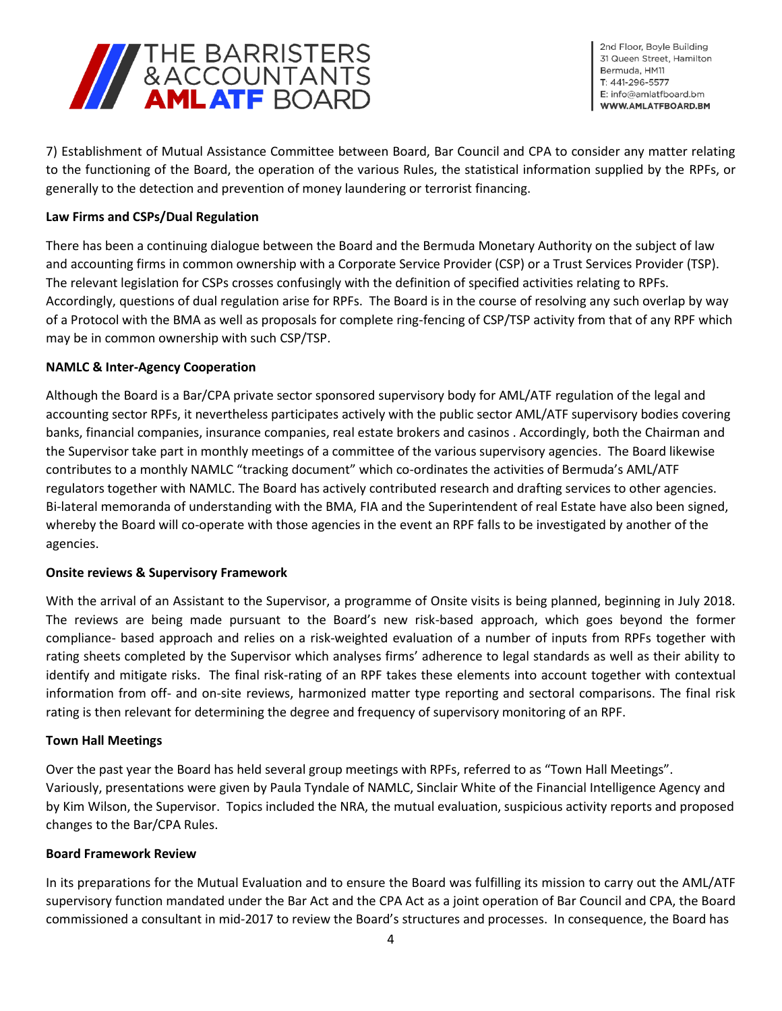

2nd Floor, Boyle Building 31 Queen Street. Hamilton Bermuda, HM11 T: 441-296-5577 E: info@amlatfboard.bm WWW.AMLATFBOARD.BM

7) Establishment of Mutual Assistance Committee between Board, Bar Council and CPA to consider any matter relating to the functioning of the Board, the operation of the various Rules, the statistical information supplied by the RPFs, or generally to the detection and prevention of money laundering or terrorist financing.

## **Law Firms and CSPs/Dual Regulation**

There has been a continuing dialogue between the Board and the Bermuda Monetary Authority on the subject of law and accounting firms in common ownership with a Corporate Service Provider (CSP) or a Trust Services Provider (TSP). The relevant legislation for CSPs crosses confusingly with the definition of specified activities relating to RPFs. Accordingly, questions of dual regulation arise for RPFs. The Board is in the course of resolving any such overlap by way of a Protocol with the BMA as well as proposals for complete ring-fencing of CSP/TSP activity from that of any RPF which may be in common ownership with such CSP/TSP.

## **NAMLC & Inter-Agency Cooperation**

Although the Board is a Bar/CPA private sector sponsored supervisory body for AML/ATF regulation of the legal and accounting sector RPFs, it nevertheless participates actively with the public sector AML/ATF supervisory bodies covering banks, financial companies, insurance companies, real estate brokers and casinos . Accordingly, both the Chairman and the Supervisor take part in monthly meetings of a committee of the various supervisory agencies. The Board likewise contributes to a monthly NAMLC "tracking document" which co-ordinates the activities of Bermuda's AML/ATF regulators together with NAMLC. The Board has actively contributed research and drafting services to other agencies. Bi-lateral memoranda of understanding with the BMA, FIA and the Superintendent of real Estate have also been signed, whereby the Board will co-operate with those agencies in the event an RPF falls to be investigated by another of the agencies.

# **Onsite reviews & Supervisory Framework**

With the arrival of an Assistant to the Supervisor, a programme of Onsite visits is being planned, beginning in July 2018. The reviews are being made pursuant to the Board's new risk-based approach, which goes beyond the former compliance- based approach and relies on a risk-weighted evaluation of a number of inputs from RPFs together with rating sheets completed by the Supervisor which analyses firms' adherence to legal standards as well as their ability to identify and mitigate risks. The final risk-rating of an RPF takes these elements into account together with contextual information from off- and on-site reviews, harmonized matter type reporting and sectoral comparisons. The final risk rating is then relevant for determining the degree and frequency of supervisory monitoring of an RPF.

## **Town Hall Meetings**

Over the past year the Board has held several group meetings with RPFs, referred to as "Town Hall Meetings". Variously, presentations were given by Paula Tyndale of NAMLC, Sinclair White of the Financial Intelligence Agency and by Kim Wilson, the Supervisor. Topics included the NRA, the mutual evaluation, suspicious activity reports and proposed changes to the Bar/CPA Rules.

## **Board Framework Review**

In its preparations for the Mutual Evaluation and to ensure the Board was fulfilling its mission to carry out the AML/ATF supervisory function mandated under the Bar Act and the CPA Act as a joint operation of Bar Council and CPA, the Board commissioned a consultant in mid-2017 to review the Board's structures and processes. In consequence, the Board has